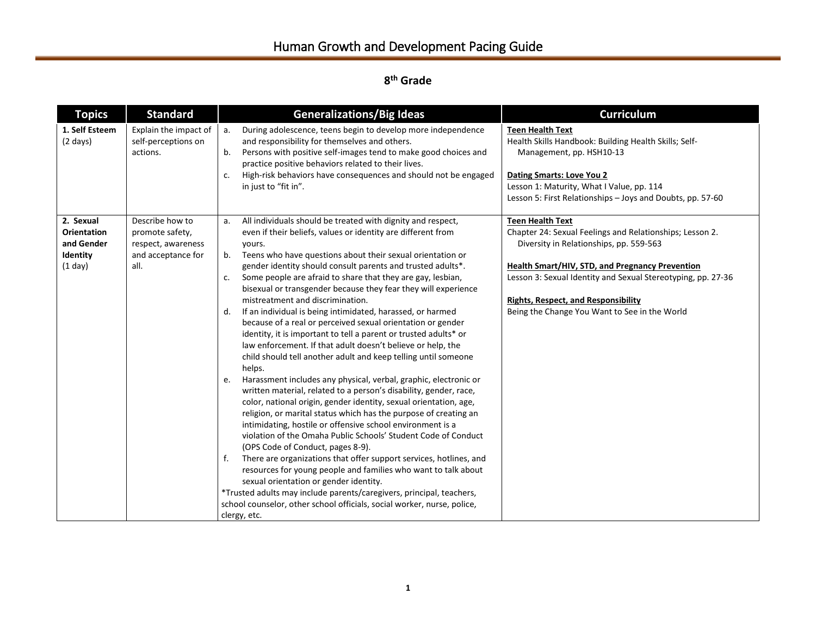| <b>Topics</b>                                                        | <b>Standard</b>                                                                        | <b>Generalizations/Big Ideas</b>                                                                                                                                                                                                                                                                                                                                                                                                                                                                                                                                                                                                                                                                                                                                                                                                                                                                                                                                                                                                                                                                                                                                                                                                                                                                                                                                                                                                                                                                                                                                                                                                    | <b>Curriculum</b>                                                                                                                                                                                                                                                                                                                                       |
|----------------------------------------------------------------------|----------------------------------------------------------------------------------------|-------------------------------------------------------------------------------------------------------------------------------------------------------------------------------------------------------------------------------------------------------------------------------------------------------------------------------------------------------------------------------------------------------------------------------------------------------------------------------------------------------------------------------------------------------------------------------------------------------------------------------------------------------------------------------------------------------------------------------------------------------------------------------------------------------------------------------------------------------------------------------------------------------------------------------------------------------------------------------------------------------------------------------------------------------------------------------------------------------------------------------------------------------------------------------------------------------------------------------------------------------------------------------------------------------------------------------------------------------------------------------------------------------------------------------------------------------------------------------------------------------------------------------------------------------------------------------------------------------------------------------------|---------------------------------------------------------------------------------------------------------------------------------------------------------------------------------------------------------------------------------------------------------------------------------------------------------------------------------------------------------|
| 1. Self Esteem<br>$(2 \text{ days})$                                 | Explain the impact of<br>self-perceptions on<br>actions.                               | During adolescence, teens begin to develop more independence<br>а.<br>and responsibility for themselves and others.<br>Persons with positive self-images tend to make good choices and<br>b.<br>practice positive behaviors related to their lives.<br>High-risk behaviors have consequences and should not be engaged<br>c.<br>in just to "fit in".                                                                                                                                                                                                                                                                                                                                                                                                                                                                                                                                                                                                                                                                                                                                                                                                                                                                                                                                                                                                                                                                                                                                                                                                                                                                                | <b>Teen Health Text</b><br>Health Skills Handbook: Building Health Skills; Self-<br>Management, pp. HSH10-13<br><b>Dating Smarts: Love You 2</b><br>Lesson 1: Maturity, What I Value, pp. 114<br>Lesson 5: First Relationships - Joys and Doubts, pp. 57-60                                                                                             |
| 2. Sexual<br><b>Orientation</b><br>and Gender<br>Identity<br>(1 day) | Describe how to<br>promote safety,<br>respect, awareness<br>and acceptance for<br>all. | All individuals should be treated with dignity and respect,<br>a.<br>even if their beliefs, values or identity are different from<br>yours.<br>Teens who have questions about their sexual orientation or<br>b.<br>gender identity should consult parents and trusted adults*.<br>Some people are afraid to share that they are gay, lesbian,<br>c.<br>bisexual or transgender because they fear they will experience<br>mistreatment and discrimination.<br>If an individual is being intimidated, harassed, or harmed<br>d.<br>because of a real or perceived sexual orientation or gender<br>identity, it is important to tell a parent or trusted adults* or<br>law enforcement. If that adult doesn't believe or help, the<br>child should tell another adult and keep telling until someone<br>helps.<br>Harassment includes any physical, verbal, graphic, electronic or<br>e.<br>written material, related to a person's disability, gender, race,<br>color, national origin, gender identity, sexual orientation, age,<br>religion, or marital status which has the purpose of creating an<br>intimidating, hostile or offensive school environment is a<br>violation of the Omaha Public Schools' Student Code of Conduct<br>(OPS Code of Conduct, pages 8-9).<br>There are organizations that offer support services, hotlines, and<br>f.<br>resources for young people and families who want to talk about<br>sexual orientation or gender identity.<br>*Trusted adults may include parents/caregivers, principal, teachers,<br>school counselor, other school officials, social worker, nurse, police,<br>clergy, etc. | <b>Teen Health Text</b><br>Chapter 24: Sexual Feelings and Relationships; Lesson 2.<br>Diversity in Relationships, pp. 559-563<br><b>Health Smart/HIV, STD, and Pregnancy Prevention</b><br>Lesson 3: Sexual Identity and Sexual Stereotyping, pp. 27-36<br><b>Rights, Respect, and Responsibility</b><br>Being the Change You Want to See in the World |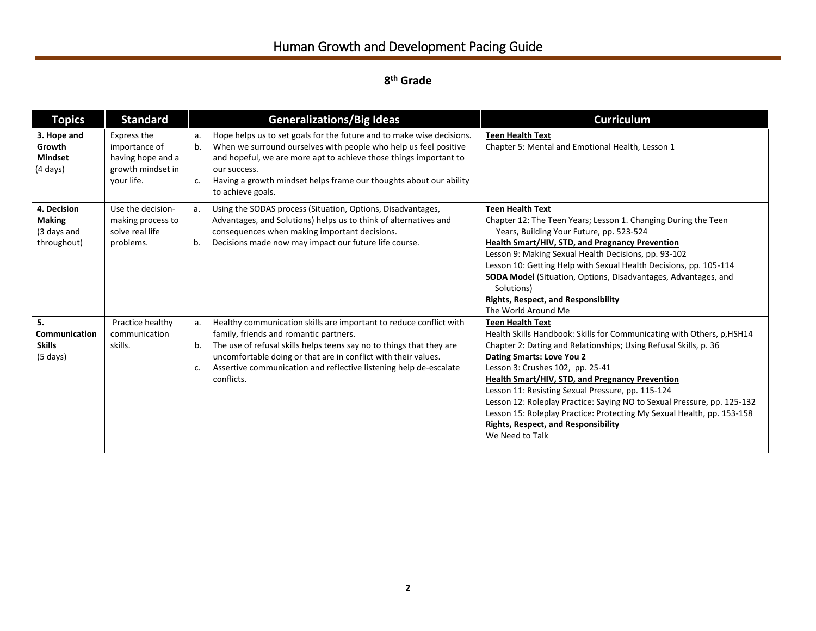| <b>Topics</b>                                                 | <b>Standard</b>                                                                      | <b>Generalizations/Big Ideas</b>                                                                                                                                                                                                                                                                                                                            | <b>Curriculum</b>                                                                                                                                                                                                                                                                                                                                                                                                                                                                                                                                                                  |
|---------------------------------------------------------------|--------------------------------------------------------------------------------------|-------------------------------------------------------------------------------------------------------------------------------------------------------------------------------------------------------------------------------------------------------------------------------------------------------------------------------------------------------------|------------------------------------------------------------------------------------------------------------------------------------------------------------------------------------------------------------------------------------------------------------------------------------------------------------------------------------------------------------------------------------------------------------------------------------------------------------------------------------------------------------------------------------------------------------------------------------|
| 3. Hope and<br>Growth<br><b>Mindset</b><br>$(4 \text{ days})$ | Express the<br>importance of<br>having hope and a<br>growth mindset in<br>vour life. | Hope helps us to set goals for the future and to make wise decisions.<br>а.<br>When we surround ourselves with people who help us feel positive<br>b.<br>and hopeful, we are more apt to achieve those things important to<br>our success.<br>Having a growth mindset helps frame our thoughts about our ability<br>c.<br>to achieve goals.                 | <b>Teen Health Text</b><br>Chapter 5: Mental and Emotional Health, Lesson 1                                                                                                                                                                                                                                                                                                                                                                                                                                                                                                        |
| 4. Decision<br><b>Making</b><br>(3 days and<br>throughout)    | Use the decision-<br>making process to<br>solve real life<br>problems.               | Using the SODAS process (Situation, Options, Disadvantages,<br>а.<br>Advantages, and Solutions) helps us to think of alternatives and<br>consequences when making important decisions.<br>Decisions made now may impact our future life course.<br>b.                                                                                                       | <b>Teen Health Text</b><br>Chapter 12: The Teen Years; Lesson 1. Changing During the Teen<br>Years, Building Your Future, pp. 523-524<br>Health Smart/HIV, STD, and Pregnancy Prevention<br>Lesson 9: Making Sexual Health Decisions, pp. 93-102<br>Lesson 10: Getting Help with Sexual Health Decisions, pp. 105-114<br>SODA Model (Situation, Options, Disadvantages, Advantages, and<br>Solutions)<br><b>Rights, Respect, and Responsibility</b><br>The World Around Me                                                                                                         |
| 5.<br>Communication<br><b>Skills</b><br>$(5 \text{ days})$    | Practice healthy<br>communication<br>skills.                                         | Healthy communication skills are important to reduce conflict with<br>a.<br>family, friends and romantic partners.<br>The use of refusal skills helps teens say no to things that they are<br>b.<br>uncomfortable doing or that are in conflict with their values.<br>Assertive communication and reflective listening help de-escalate<br>c.<br>conflicts. | <b>Teen Health Text</b><br>Health Skills Handbook: Skills for Communicating with Others, p, HSH14<br>Chapter 2: Dating and Relationships; Using Refusal Skills, p. 36<br><b>Dating Smarts: Love You 2</b><br>Lesson 3: Crushes 102, pp. 25-41<br><b>Health Smart/HIV, STD, and Pregnancy Prevention</b><br>Lesson 11: Resisting Sexual Pressure, pp. 115-124<br>Lesson 12: Roleplay Practice: Saying NO to Sexual Pressure, pp. 125-132<br>Lesson 15: Roleplay Practice: Protecting My Sexual Health, pp. 153-158<br><b>Rights, Respect, and Responsibility</b><br>We Need to Talk |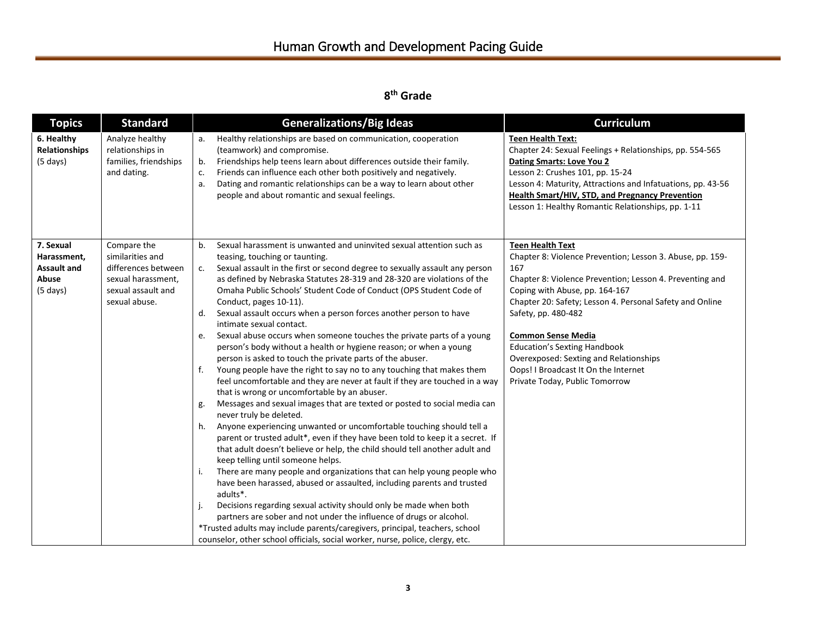| <b>Topics</b>                                                         | <b>Standard</b>                                                                                                     | <b>Generalizations/Big Ideas</b>                                                                                                                                                                                                                                                                                                                                                                                                                                                                                                                                                                                                                                                                                                                                                                                                                                                                                                                                                                                                                                                                                                                                                                                                                                                                                                                                                                                                                                                                                                                                                                                                           | <b>Curriculum</b>                                                                                                                                                                                                                                                                                                                                                                                                                                                    |
|-----------------------------------------------------------------------|---------------------------------------------------------------------------------------------------------------------|--------------------------------------------------------------------------------------------------------------------------------------------------------------------------------------------------------------------------------------------------------------------------------------------------------------------------------------------------------------------------------------------------------------------------------------------------------------------------------------------------------------------------------------------------------------------------------------------------------------------------------------------------------------------------------------------------------------------------------------------------------------------------------------------------------------------------------------------------------------------------------------------------------------------------------------------------------------------------------------------------------------------------------------------------------------------------------------------------------------------------------------------------------------------------------------------------------------------------------------------------------------------------------------------------------------------------------------------------------------------------------------------------------------------------------------------------------------------------------------------------------------------------------------------------------------------------------------------------------------------------------------------|----------------------------------------------------------------------------------------------------------------------------------------------------------------------------------------------------------------------------------------------------------------------------------------------------------------------------------------------------------------------------------------------------------------------------------------------------------------------|
| 6. Healthy<br><b>Relationships</b><br>$(5 \text{ days})$              | Analyze healthy<br>relationships in<br>families, friendships<br>and dating.                                         | Healthy relationships are based on communication, cooperation<br>a.<br>(teamwork) and compromise.<br>Friendships help teens learn about differences outside their family.<br>b.<br>Friends can influence each other both positively and negatively.<br>c.<br>Dating and romantic relationships can be a way to learn about other<br>a.<br>people and about romantic and sexual feelings.                                                                                                                                                                                                                                                                                                                                                                                                                                                                                                                                                                                                                                                                                                                                                                                                                                                                                                                                                                                                                                                                                                                                                                                                                                                   | <b>Teen Health Text:</b><br>Chapter 24: Sexual Feelings + Relationships, pp. 554-565<br>Dating Smarts: Love You 2<br>Lesson 2: Crushes 101, pp. 15-24<br>Lesson 4: Maturity, Attractions and Infatuations, pp. 43-56<br>Health Smart/HIV, STD, and Pregnancy Prevention<br>Lesson 1: Healthy Romantic Relationships, pp. 1-11                                                                                                                                        |
| 7. Sexual<br>Harassment,<br><b>Assault and</b><br>Abuse<br>$(5$ days) | Compare the<br>similarities and<br>differences between<br>sexual harassment,<br>sexual assault and<br>sexual abuse. | Sexual harassment is unwanted and uninvited sexual attention such as<br>b.<br>teasing, touching or taunting.<br>Sexual assault in the first or second degree to sexually assault any person<br>c.<br>as defined by Nebraska Statutes 28-319 and 28-320 are violations of the<br>Omaha Public Schools' Student Code of Conduct (OPS Student Code of<br>Conduct, pages 10-11).<br>Sexual assault occurs when a person forces another person to have<br>d.<br>intimate sexual contact.<br>Sexual abuse occurs when someone touches the private parts of a young<br>e.<br>person's body without a health or hygiene reason; or when a young<br>person is asked to touch the private parts of the abuser.<br>f.<br>Young people have the right to say no to any touching that makes them<br>feel uncomfortable and they are never at fault if they are touched in a way<br>that is wrong or uncomfortable by an abuser.<br>Messages and sexual images that are texted or posted to social media can<br>g.<br>never truly be deleted.<br>Anyone experiencing unwanted or uncomfortable touching should tell a<br>h.<br>parent or trusted adult*, even if they have been told to keep it a secret. If<br>that adult doesn't believe or help, the child should tell another adult and<br>keep telling until someone helps.<br>There are many people and organizations that can help young people who<br>i.<br>have been harassed, abused or assaulted, including parents and trusted<br>adults*.<br>j.<br>Decisions regarding sexual activity should only be made when both<br>partners are sober and not under the influence of drugs or alcohol. | <b>Teen Health Text</b><br>Chapter 8: Violence Prevention; Lesson 3. Abuse, pp. 159-<br>167<br>Chapter 8: Violence Prevention; Lesson 4. Preventing and<br>Coping with Abuse, pp. 164-167<br>Chapter 20: Safety; Lesson 4. Personal Safety and Online<br>Safety, pp. 480-482<br><b>Common Sense Media</b><br><b>Education's Sexting Handbook</b><br>Overexposed: Sexting and Relationships<br>Oops! I Broadcast It On the Internet<br>Private Today, Public Tomorrow |
|                                                                       |                                                                                                                     | *Trusted adults may include parents/caregivers, principal, teachers, school<br>counselor, other school officials, social worker, nurse, police, clergy, etc.                                                                                                                                                                                                                                                                                                                                                                                                                                                                                                                                                                                                                                                                                                                                                                                                                                                                                                                                                                                                                                                                                                                                                                                                                                                                                                                                                                                                                                                                               |                                                                                                                                                                                                                                                                                                                                                                                                                                                                      |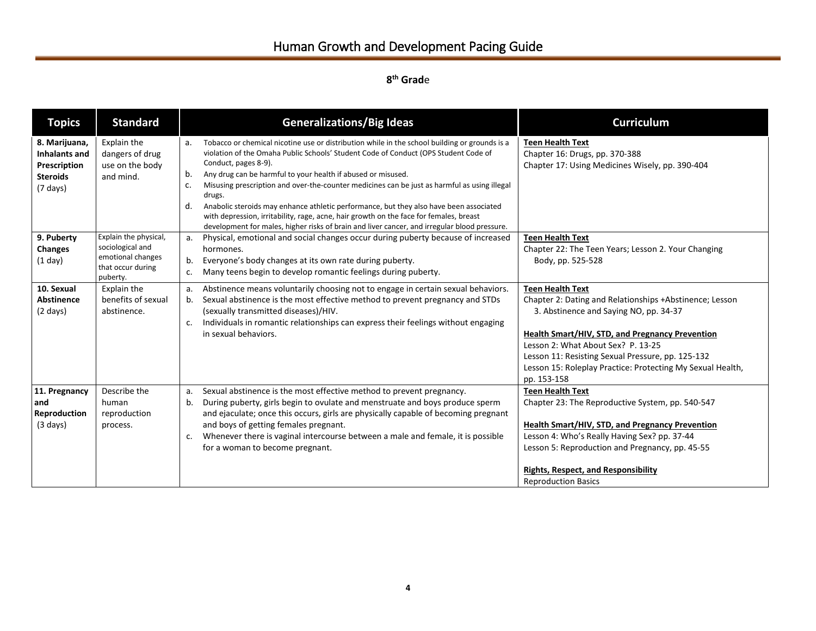# Human Growth and Development Pacing Guide

| <b>Topics</b>                                                                           | <b>Standard</b>                                                                                 | <b>Generalizations/Big Ideas</b>                                                                                                                                                                                                                                                                                                                                                                                                                                                                                                                                                                                                                                                                   | <b>Curriculum</b>                                                                                                                                                                                                                                                                                                                                              |
|-----------------------------------------------------------------------------------------|-------------------------------------------------------------------------------------------------|----------------------------------------------------------------------------------------------------------------------------------------------------------------------------------------------------------------------------------------------------------------------------------------------------------------------------------------------------------------------------------------------------------------------------------------------------------------------------------------------------------------------------------------------------------------------------------------------------------------------------------------------------------------------------------------------------|----------------------------------------------------------------------------------------------------------------------------------------------------------------------------------------------------------------------------------------------------------------------------------------------------------------------------------------------------------------|
| 8. Marijuana,<br>Inhalants and<br>Prescription<br><b>Steroids</b><br>$(7 \text{ days})$ | Explain the<br>dangers of drug<br>use on the body<br>and mind.                                  | Tobacco or chemical nicotine use or distribution while in the school building or grounds is a<br>a.<br>violation of the Omaha Public Schools' Student Code of Conduct (OPS Student Code of<br>Conduct, pages 8-9).<br>Any drug can be harmful to your health if abused or misused.<br>b.<br>Misusing prescription and over-the-counter medicines can be just as harmful as using illegal<br>c.<br>drugs.<br>Anabolic steroids may enhance athletic performance, but they also have been associated<br>d.<br>with depression, irritability, rage, acne, hair growth on the face for females, breast<br>development for males, higher risks of brain and liver cancer, and irregular blood pressure. | <b>Teen Health Text</b><br>Chapter 16: Drugs, pp. 370-388<br>Chapter 17: Using Medicines Wisely, pp. 390-404                                                                                                                                                                                                                                                   |
| 9. Puberty<br><b>Changes</b><br>(1 day)                                                 | Explain the physical,<br>sociological and<br>emotional changes<br>that occur during<br>puberty. | Physical, emotional and social changes occur during puberty because of increased<br>a.<br>hormones.<br>Everyone's body changes at its own rate during puberty.<br>b.<br>Many teens begin to develop romantic feelings during puberty.<br>c.                                                                                                                                                                                                                                                                                                                                                                                                                                                        | <b>Teen Health Text</b><br>Chapter 22: The Teen Years; Lesson 2. Your Changing<br>Body, pp. 525-528                                                                                                                                                                                                                                                            |
| 10. Sexual<br>Abstinence<br>$(2 \text{ days})$                                          | Explain the<br>benefits of sexual<br>abstinence.                                                | Abstinence means voluntarily choosing not to engage in certain sexual behaviors.<br>a.<br>Sexual abstinence is the most effective method to prevent pregnancy and STDs<br>b.<br>(sexually transmitted diseases)/HIV.<br>Individuals in romantic relationships can express their feelings without engaging<br>c.<br>in sexual behaviors.                                                                                                                                                                                                                                                                                                                                                            | <b>Teen Health Text</b><br>Chapter 2: Dating and Relationships +Abstinence; Lesson<br>3. Abstinence and Saying NO, pp. 34-37<br><b>Health Smart/HIV, STD, and Pregnancy Prevention</b><br>Lesson 2: What About Sex? P. 13-25<br>Lesson 11: Resisting Sexual Pressure, pp. 125-132<br>Lesson 15: Roleplay Practice: Protecting My Sexual Health,<br>pp. 153-158 |
| 11. Pregnancy<br>and<br>Reproduction<br>$(3 \text{ days})$                              | Describe the<br>human<br>reproduction<br>process.                                               | Sexual abstinence is the most effective method to prevent pregnancy.<br>a.<br>During puberty, girls begin to ovulate and menstruate and boys produce sperm<br>b.<br>and ejaculate; once this occurs, girls are physically capable of becoming pregnant<br>and boys of getting females pregnant.<br>Whenever there is vaginal intercourse between a male and female, it is possible<br>c.<br>for a woman to become pregnant.                                                                                                                                                                                                                                                                        | <b>Teen Health Text</b><br>Chapter 23: The Reproductive System, pp. 540-547<br><b>Health Smart/HIV, STD, and Pregnancy Prevention</b><br>Lesson 4: Who's Really Having Sex? pp. 37-44<br>Lesson 5: Reproduction and Pregnancy, pp. 45-55<br><b>Rights, Respect, and Responsibility</b><br><b>Reproduction Basics</b>                                           |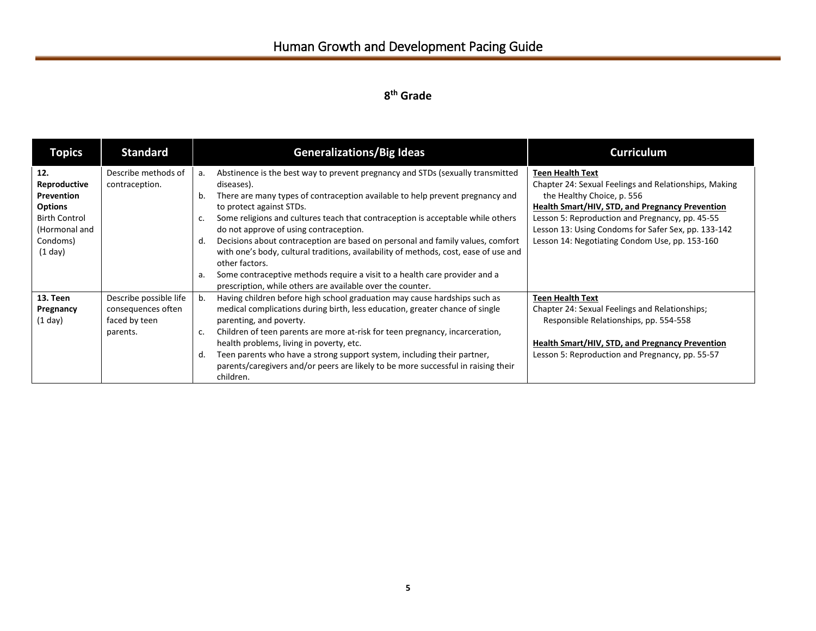| <b>Topics</b>                                                                                                       | <b>Standard</b>                                                           | <b>Generalizations/Big Ideas</b>                                                                                                                                                                                                                                                                                                                                                                                                                                                                                                                                                                                                                                                                             | <b>Curriculum</b>                                                                                                                                                                                                                                                                                                             |
|---------------------------------------------------------------------------------------------------------------------|---------------------------------------------------------------------------|--------------------------------------------------------------------------------------------------------------------------------------------------------------------------------------------------------------------------------------------------------------------------------------------------------------------------------------------------------------------------------------------------------------------------------------------------------------------------------------------------------------------------------------------------------------------------------------------------------------------------------------------------------------------------------------------------------------|-------------------------------------------------------------------------------------------------------------------------------------------------------------------------------------------------------------------------------------------------------------------------------------------------------------------------------|
| 12.<br>Reproductive<br>Prevention<br><b>Options</b><br><b>Birth Control</b><br>(Hormonal and<br>Condoms)<br>(1 day) | Describe methods of<br>contraception.                                     | Abstinence is the best way to prevent pregnancy and STDs (sexually transmitted<br>a.<br>diseases).<br>There are many types of contraception available to help prevent pregnancy and<br>b.<br>to protect against STDs.<br>Some religions and cultures teach that contraception is acceptable while others<br>c.<br>do not approve of using contraception.<br>Decisions about contraception are based on personal and family values, comfort<br>d.<br>with one's body, cultural traditions, availability of methods, cost, ease of use and<br>other factors.<br>Some contraceptive methods require a visit to a health care provider and a<br>a.<br>prescription, while others are available over the counter. | <b>Teen Health Text</b><br>Chapter 24: Sexual Feelings and Relationships, Making<br>the Healthy Choice, p. 556<br>Health Smart/HIV, STD, and Pregnancy Prevention<br>Lesson 5: Reproduction and Pregnancy, pp. 45-55<br>Lesson 13: Using Condoms for Safer Sex, pp. 133-142<br>Lesson 14: Negotiating Condom Use, pp. 153-160 |
| 13. Teen<br>Pregnancy<br>$(1$ day)                                                                                  | Describe possible life<br>consequences often<br>faced by teen<br>parents. | Having children before high school graduation may cause hardships such as<br>b.<br>medical complications during birth, less education, greater chance of single<br>parenting, and poverty.<br>Children of teen parents are more at-risk for teen pregnancy, incarceration,<br>c.<br>health problems, living in poverty, etc.<br>Teen parents who have a strong support system, including their partner,<br>d.<br>parents/caregivers and/or peers are likely to be more successful in raising their<br>children.                                                                                                                                                                                              | <b>Teen Health Text</b><br>Chapter 24: Sexual Feelings and Relationships;<br>Responsible Relationships, pp. 554-558<br><b>Health Smart/HIV, STD, and Pregnancy Prevention</b><br>Lesson 5: Reproduction and Pregnancy, pp. 55-57                                                                                              |